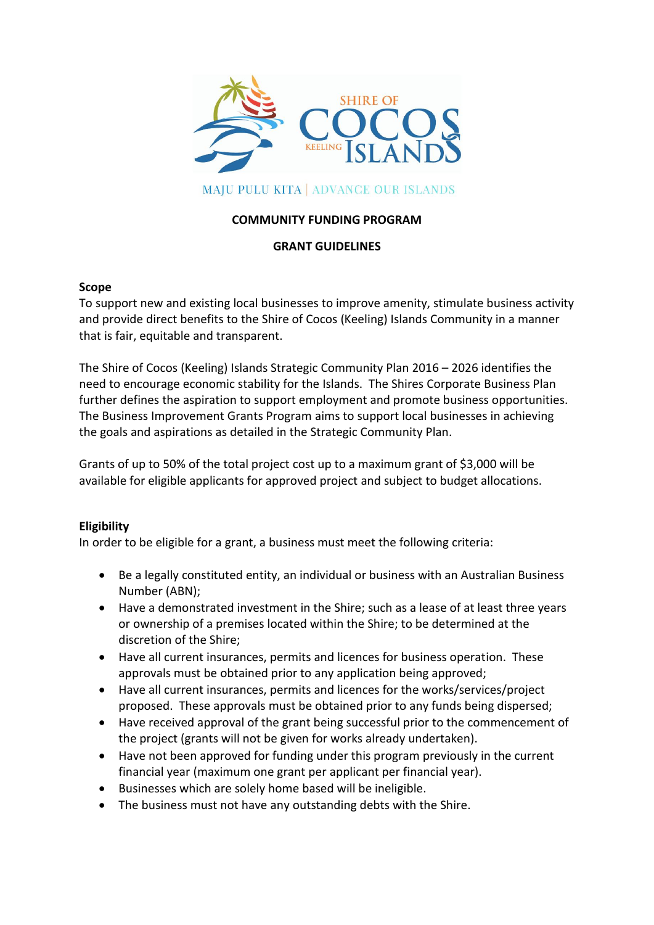

# **MAJU PULU KITA | ADVANCE OUR ISLANDS**

### **COMMUNITY FUNDING PROGRAM**

#### **GRANT GUIDELINES**

#### **Scope**

To support new and existing local businesses to improve amenity, stimulate business activity and provide direct benefits to the Shire of Cocos (Keeling) Islands Community in a manner that is fair, equitable and transparent.

The Shire of Cocos (Keeling) Islands Strategic Community Plan 2016 – 2026 identifies the need to encourage economic stability for the Islands. The Shires Corporate Business Plan further defines the aspiration to support employment and promote business opportunities. The Business Improvement Grants Program aims to support local businesses in achieving the goals and aspirations as detailed in the Strategic Community Plan.

Grants of up to 50% of the total project cost up to a maximum grant of \$3,000 will be available for eligible applicants for approved project and subject to budget allocations.

#### **Eligibility**

In order to be eligible for a grant, a business must meet the following criteria:

- Be a legally constituted entity, an individual or business with an Australian Business Number (ABN);
- Have a demonstrated investment in the Shire; such as a lease of at least three years or ownership of a premises located within the Shire; to be determined at the discretion of the Shire;
- Have all current insurances, permits and licences for business operation. These approvals must be obtained prior to any application being approved;
- Have all current insurances, permits and licences for the works/services/project proposed. These approvals must be obtained prior to any funds being dispersed;
- Have received approval of the grant being successful prior to the commencement of the project (grants will not be given for works already undertaken).
- Have not been approved for funding under this program previously in the current financial year (maximum one grant per applicant per financial year).
- Businesses which are solely home based will be ineligible.
- The business must not have any outstanding debts with the Shire.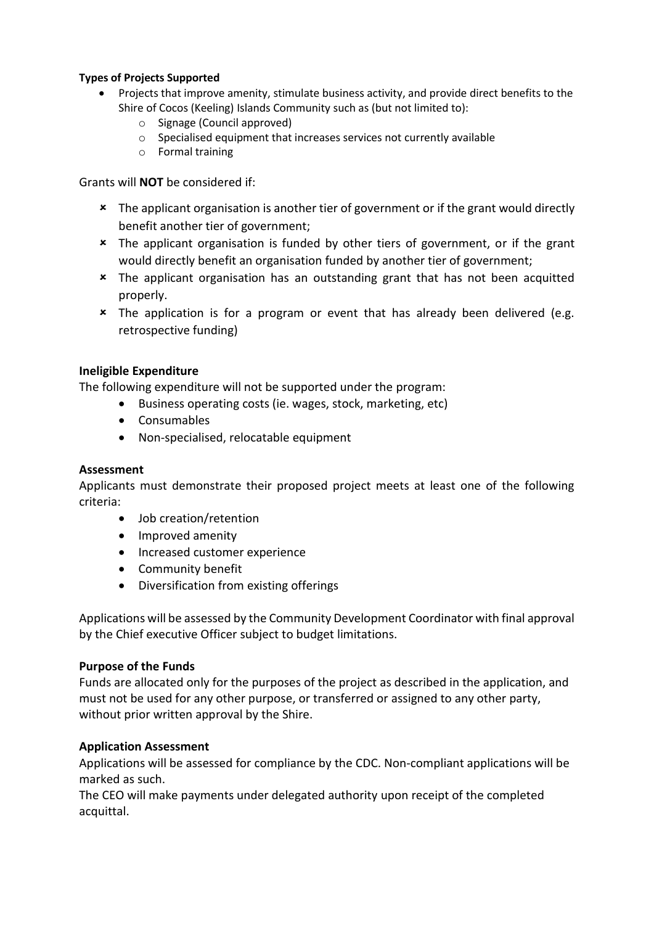## **Types of Projects Supported**

- Projects that improve amenity, stimulate business activity, and provide direct benefits to the Shire of Cocos (Keeling) Islands Community such as (but not limited to):
	- o Signage (Council approved)
	- o Specialised equipment that increases services not currently available
	- o Formal training

Grants will **NOT** be considered if:

- \* The applicant organisation is another tier of government or if the grant would directly benefit another tier of government;
- The applicant organisation is funded by other tiers of government, or if the grant would directly benefit an organisation funded by another tier of government;
- The applicant organisation has an outstanding grant that has not been acquitted properly.
- \* The application is for a program or event that has already been delivered (e.g. retrospective funding)

## **Ineligible Expenditure**

The following expenditure will not be supported under the program:

- Business operating costs (ie. wages, stock, marketing, etc)
- Consumables
- Non-specialised, relocatable equipment

#### **Assessment**

Applicants must demonstrate their proposed project meets at least one of the following criteria:

- Job creation/retention
- Improved amenity
- Increased customer experience
- Community benefit
- Diversification from existing offerings

Applications will be assessed by the Community Development Coordinator with final approval by the Chief executive Officer subject to budget limitations.

#### **Purpose of the Funds**

Funds are allocated only for the purposes of the project as described in the application, and must not be used for any other purpose, or transferred or assigned to any other party, without prior written approval by the Shire.

#### **Application Assessment**

Applications will be assessed for compliance by the CDC. Non-compliant applications will be marked as such.

The CEO will make payments under delegated authority upon receipt of the completed acquittal.